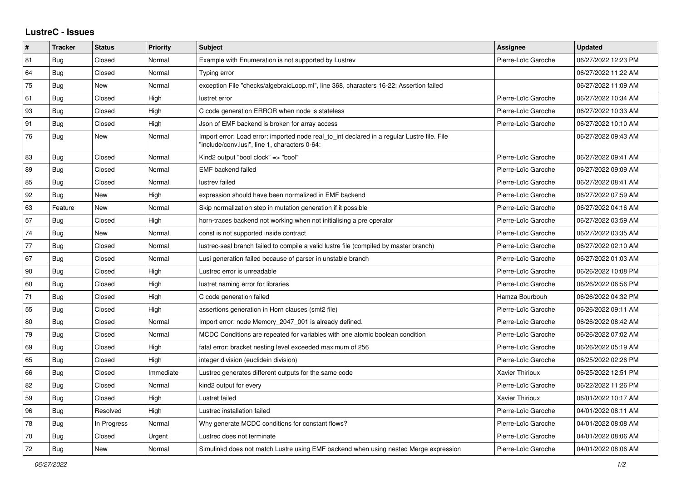## **LustreC - Issues**

| ∦  | <b>Tracker</b> | <b>Status</b> | <b>Priority</b> | <b>Subject</b>                                                                                                                               | <b>Assignee</b>        | <b>Updated</b>      |
|----|----------------|---------------|-----------------|----------------------------------------------------------------------------------------------------------------------------------------------|------------------------|---------------------|
| 81 | Bug            | Closed        | Normal          | Example with Enumeration is not supported by Lustrev                                                                                         | Pierre-Loïc Garoche    | 06/27/2022 12:23 PM |
| 64 | <b>Bug</b>     | Closed        | Normal          | Typing error                                                                                                                                 |                        | 06/27/2022 11:22 AM |
| 75 | Bug            | New           | Normal          | exception File "checks/algebraicLoop.ml", line 368, characters 16-22: Assertion failed                                                       |                        | 06/27/2022 11:09 AM |
| 61 | Bug            | Closed        | High            | lustret error                                                                                                                                | Pierre-Loïc Garoche    | 06/27/2022 10:34 AM |
| 93 | <b>Bug</b>     | Closed        | High            | C code generation ERROR when node is stateless                                                                                               | Pierre-Loïc Garoche    | 06/27/2022 10:33 AM |
| 91 | <b>Bug</b>     | Closed        | High            | Json of EMF backend is broken for array access                                                                                               | Pierre-Loïc Garoche    | 06/27/2022 10:10 AM |
| 76 | <b>Bug</b>     | New           | Normal          | Import error: Load error: imported node real to int declared in a regular Lustre file. File<br>"include/conv.lusi", line 1, characters 0-64: |                        | 06/27/2022 09:43 AM |
| 83 | Bug            | Closed        | Normal          | Kind2 output "bool clock" => "bool"                                                                                                          | Pierre-Loïc Garoche    | 06/27/2022 09:41 AM |
| 89 | Bug            | Closed        | Normal          | <b>EMF</b> backend failed                                                                                                                    | Pierre-Loïc Garoche    | 06/27/2022 09:09 AM |
| 85 | <b>Bug</b>     | Closed        | Normal          | lustrev failed                                                                                                                               | Pierre-Loïc Garoche    | 06/27/2022 08:41 AM |
| 92 | Bug            | New           | High            | expression should have been normalized in EMF backend                                                                                        | Pierre-Loïc Garoche    | 06/27/2022 07:59 AM |
| 63 | Feature        | New           | Normal          | Skip normalization step in mutation generation if it possible                                                                                | Pierre-Loïc Garoche    | 06/27/2022 04:16 AM |
| 57 | Bug            | Closed        | High            | horn-traces backend not working when not initialising a pre operator                                                                         | Pierre-Loïc Garoche    | 06/27/2022 03:59 AM |
| 74 | Bug            | New           | Normal          | const is not supported inside contract                                                                                                       | Pierre-Loïc Garoche    | 06/27/2022 03:35 AM |
| 77 | <b>Bug</b>     | Closed        | Normal          | lustrec-seal branch failed to compile a valid lustre file (compiled by master branch)                                                        | Pierre-Loïc Garoche    | 06/27/2022 02:10 AM |
| 67 | Bug            | Closed        | Normal          | Lusi generation failed because of parser in unstable branch                                                                                  | Pierre-Loïc Garoche    | 06/27/2022 01:03 AM |
| 90 | <b>Bug</b>     | Closed        | High            | Lustrec error is unreadable                                                                                                                  | Pierre-Loïc Garoche    | 06/26/2022 10:08 PM |
| 60 | Bug            | Closed        | High            | lustret naming error for libraries                                                                                                           | Pierre-Loïc Garoche    | 06/26/2022 06:56 PM |
| 71 | <b>Bug</b>     | Closed        | High            | C code generation failed                                                                                                                     | Hamza Bourbouh         | 06/26/2022 04:32 PM |
| 55 | Bug            | Closed        | High            | assertions generation in Horn clauses (smt2 file)                                                                                            | Pierre-Loïc Garoche    | 06/26/2022 09:11 AM |
| 80 | <b>Bug</b>     | Closed        | Normal          | Import error: node Memory_2047_001 is already defined.                                                                                       | Pierre-Loïc Garoche    | 06/26/2022 08:42 AM |
| 79 | <b>Bug</b>     | Closed        | Normal          | MCDC Conditions are repeated for variables with one atomic boolean condition                                                                 | Pierre-Loïc Garoche    | 06/26/2022 07:02 AM |
| 69 | Bug            | Closed        | High            | fatal error: bracket nesting level exceeded maximum of 256                                                                                   | Pierre-Loïc Garoche    | 06/26/2022 05:19 AM |
| 65 | <b>Bug</b>     | Closed        | High            | integer division (euclidein division)                                                                                                        | Pierre-Loïc Garoche    | 06/25/2022 02:26 PM |
| 66 | <b>Bug</b>     | Closed        | Immediate       | Lustrec generates different outputs for the same code                                                                                        | <b>Xavier Thirioux</b> | 06/25/2022 12:51 PM |
| 82 | <b>Bug</b>     | Closed        | Normal          | kind2 output for every                                                                                                                       | Pierre-Loïc Garoche    | 06/22/2022 11:26 PM |
| 59 | <b>Bug</b>     | Closed        | High            | Lustret failed                                                                                                                               | Xavier Thirioux        | 06/01/2022 10:17 AM |
| 96 | Bug            | Resolved      | High            | Lustrec installation failed                                                                                                                  | Pierre-Loïc Garoche    | 04/01/2022 08:11 AM |
| 78 | <b>Bug</b>     | In Progress   | Normal          | Why generate MCDC conditions for constant flows?                                                                                             | Pierre-Loïc Garoche    | 04/01/2022 08:08 AM |
| 70 | <b>Bug</b>     | Closed        | Urgent          | Lustrec does not terminate                                                                                                                   | Pierre-Loïc Garoche    | 04/01/2022 08:06 AM |
| 72 | <b>Bug</b>     | New           | Normal          | Simulinkd does not match Lustre using EMF backend when using nested Merge expression                                                         | Pierre-Loïc Garoche    | 04/01/2022 08:06 AM |